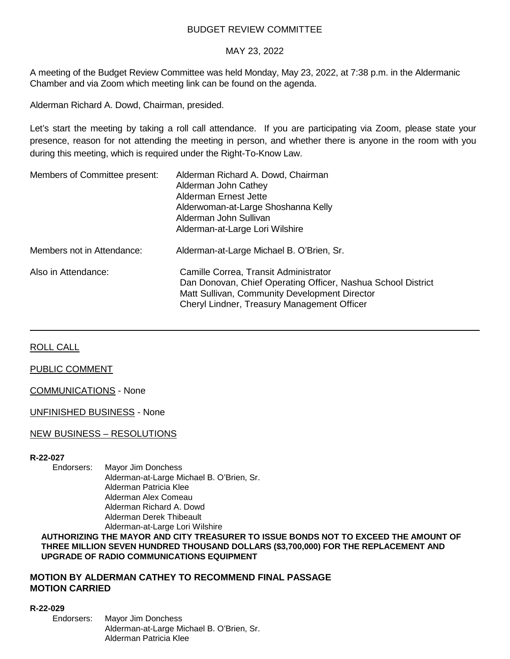# BUDGET REVIEW COMMITTEE

# MAY 23, 2022

A meeting of the Budget Review Committee was held Monday, May 23, 2022, at 7:38 p.m. in the Aldermanic Chamber and via Zoom which meeting link can be found on the agenda.

Alderman Richard A. Dowd, Chairman, presided.

Let's start the meeting by taking a roll call attendance. If you are participating via Zoom, please state your presence, reason for not attending the meeting in person, and whether there is anyone in the room with you during this meeting, which is required under the Right-To-Know Law.

| Members of Committee present: | Alderman Richard A. Dowd, Chairman<br>Alderman John Cathey<br>Alderman Ernest Jette<br>Alderwoman-at-Large Shoshanna Kelly<br>Alderman John Sullivan<br>Alderman-at-Large Lori Wilshire               |
|-------------------------------|-------------------------------------------------------------------------------------------------------------------------------------------------------------------------------------------------------|
| Members not in Attendance:    | Alderman-at-Large Michael B. O'Brien, Sr.                                                                                                                                                             |
| Also in Attendance:           | Camille Correa, Transit Administrator<br>Dan Donovan, Chief Operating Officer, Nashua School District<br>Matt Sullivan, Community Development Director<br>Cheryl Lindner, Treasury Management Officer |

ROLL CALL

### PUBLIC COMMENT

COMMUNICATIONS - None

UNFINISHED BUSINESS - None

## NEW BUSINESS – RESOLUTIONS

## **R-22-027**

Endorsers: Mayor Jim Donchess Alderman-at-Large Michael B. O'Brien, Sr. Alderman Patricia Klee Alderman Alex Comeau Alderman Richard A. Dowd Alderman Derek Thibeault Alderman-at-Large Lori Wilshire

#### **AUTHORIZING THE MAYOR AND CITY TREASURER TO ISSUE BONDS NOT TO EXCEED THE AMOUNT OF THREE MILLION SEVEN HUNDRED THOUSAND DOLLARS (\$3,700,000) FOR THE REPLACEMENT AND UPGRADE OF RADIO COMMUNICATIONS EQUIPMENT**

## **MOTION BY ALDERMAN CATHEY TO RECOMMEND FINAL PASSAGE MOTION CARRIED**

#### **R-22-029**

Endorsers: Mayor Jim Donchess Alderman-at-Large Michael B. O'Brien, Sr. Alderman Patricia Klee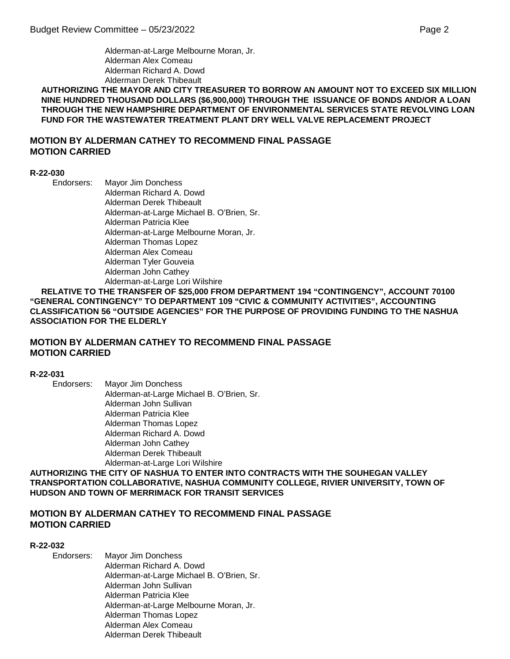Alderman-at-Large Melbourne Moran, Jr. Alderman Alex Comeau Alderman Richard A. Dowd Alderman Derek Thibeault

**AUTHORIZING THE MAYOR AND CITY TREASURER TO BORROW AN AMOUNT NOT TO EXCEED SIX MILLION NINE HUNDRED THOUSAND DOLLARS (\$6,900,000) THROUGH THE ISSUANCE OF BONDS AND/OR A LOAN THROUGH THE NEW HAMPSHIRE DEPARTMENT OF ENVIRONMENTAL SERVICES STATE REVOLVING LOAN FUND FOR THE WASTEWATER TREATMENT PLANT DRY WELL VALVE REPLACEMENT PROJECT**

# **MOTION BY ALDERMAN CATHEY TO RECOMMEND FINAL PASSAGE MOTION CARRIED**

#### **R-22-030**

Endorsers: Mayor Jim Donchess Alderman Richard A. Dowd Alderman Derek Thibeault Alderman-at-Large Michael B. O'Brien, Sr. Alderman Patricia Klee Alderman-at-Large Melbourne Moran, Jr. Alderman Thomas Lopez Alderman Alex Comeau Alderman Tyler Gouveia Alderman John Cathey Alderman-at-Large Lori Wilshire

**RELATIVE TO THE TRANSFER OF \$25,000 FROM DEPARTMENT 194 "CONTINGENCY", ACCOUNT 70100 "GENERAL CONTINGENCY" TO DEPARTMENT 109 "CIVIC & COMMUNITY ACTIVITIES", ACCOUNTING CLASSIFICATION 56 "OUTSIDE AGENCIES" FOR THE PURPOSE OF PROVIDING FUNDING TO THE NASHUA ASSOCIATION FOR THE ELDERLY**

# **MOTION BY ALDERMAN CATHEY TO RECOMMEND FINAL PASSAGE MOTION CARRIED**

**R-22-031**

Endorsers: Mayor Jim Donchess Alderman-at-Large Michael B. O'Brien, Sr. Alderman John Sullivan Alderman Patricia Klee Alderman Thomas Lopez Alderman Richard A. Dowd Alderman John Cathey Alderman Derek Thibeault Alderman-at-Large Lori Wilshire

**AUTHORIZING THE CITY OF NASHUA TO ENTER INTO CONTRACTS WITH THE SOUHEGAN VALLEY TRANSPORTATION COLLABORATIVE, NASHUA COMMUNITY COLLEGE, RIVIER UNIVERSITY, TOWN OF HUDSON AND TOWN OF MERRIMACK FOR TRANSIT SERVICES**

# **MOTION BY ALDERMAN CATHEY TO RECOMMEND FINAL PASSAGE MOTION CARRIED**

#### **R-22-032**

Endorsers: Mayor Jim Donchess Alderman Richard A. Dowd Alderman-at-Large Michael B. O'Brien, Sr. Alderman John Sullivan Alderman Patricia Klee Alderman-at-Large Melbourne Moran, Jr. Alderman Thomas Lopez Alderman Alex Comeau Alderman Derek Thibeault